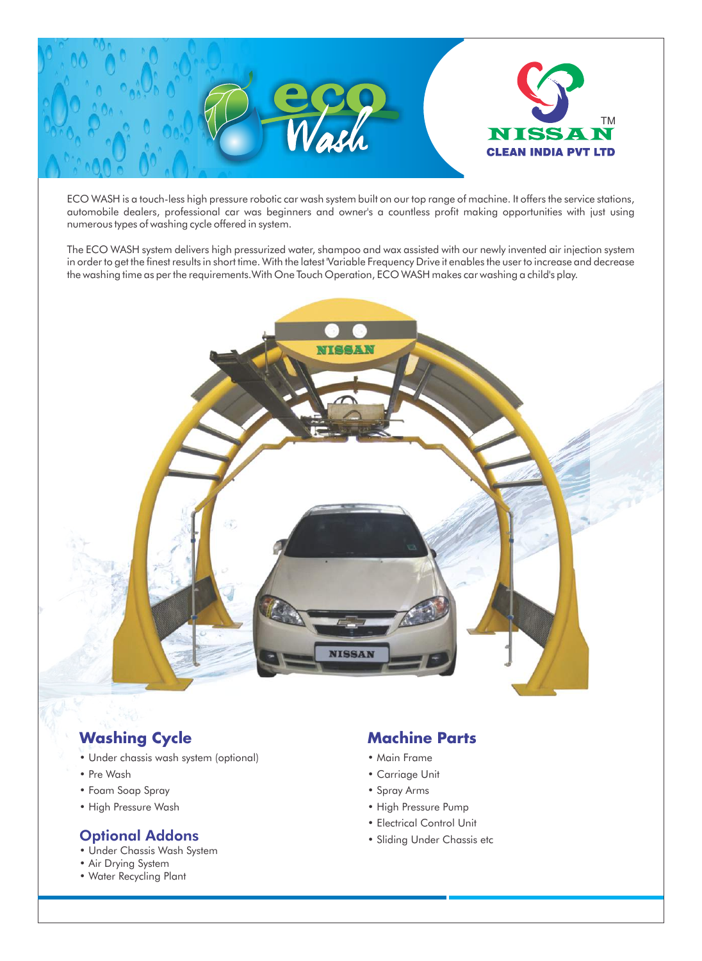

ECO WASH is a touch-less high pressure robotic car wash system built on our top range of machine. It offers the service stations, automobile dealers, professional car was beginners and owner's a countless profit making opportunities with just using numerous types of washing cycle offered in system.

The ECO WASH system delivers high pressurized water, shampoo and wax assisted with our newly invented air injection system in order to get the finest results in short time. With the latest 'Variable Frequency Drive it enables the user to increase and decrease the washing time as per the requirements.With One Touch Operation, ECO WASH makes car washing a child's play.



# **Washing Cycle**

- Under chassis wash system (optional)
- Pre Wash
- Foam Soap Spray
- High Pressure Wash

### Optional Addons

- Under Chassis Wash System
- Air Drying System
- Water Recycling Plant

## **Machine Parts**

- Main Frame
	- Carriage Unit
	- Spray Arms
	- High Pressure Pump
	- Electrical Control Unit
	- Sliding Under Chassis etc